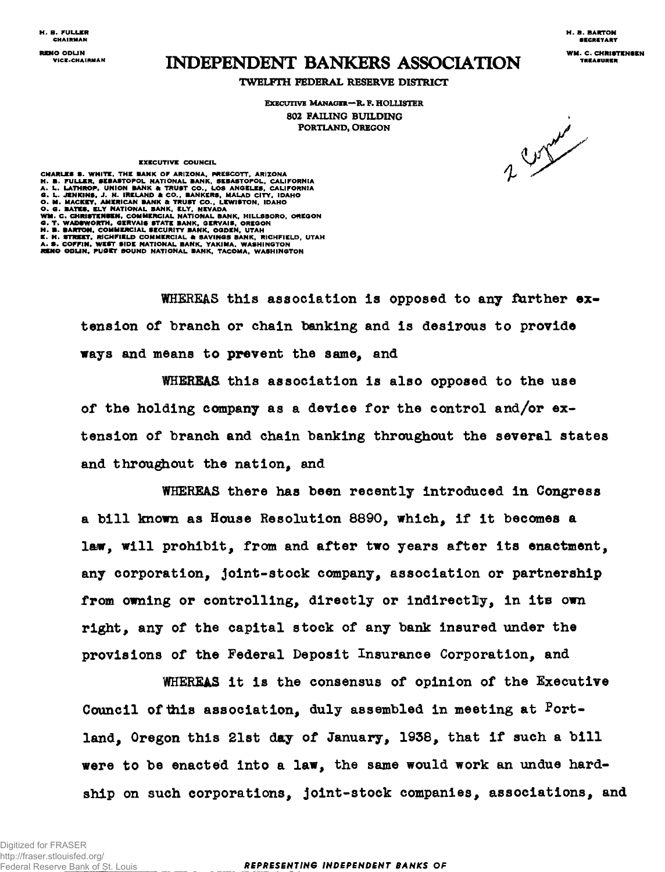**H. B. FULLER H. B. BARTON**

**RENO OPER STRUCK ASSOCIATION** 

## **TWELFTH FEDERAL RESERVE DISTRICT**

**EXECUTIVE MANAGER—R. F. HOLUSTER 802 FAILING BUILDING PORTLAND, OREGON**

2 ratio

## **EXECUTIVE COUNCIL**

CHARLES S. WHITE, THE BANK OF ARIZONA, PRESCOTT, ARIZONA<br>H. B. FULLER, SEBASTOPOL NATIONAL BANK, SEBASTOPOL, CALIFORNIA<br>A. L. LATHROP, UNION BANK & TRUST CO., LOS ANGELES, CALIFORNIA<br>G. L. JENKINS, J. N. IRELAND & CO., BAN

**WHEREAS this association is opposed to any farther extension of branch or chain banking and is desirous to provide ways and means to prevent the same, and**

**WHEREAS this association is also opposed to the use of the holding company as a device for the control and/or extension of branch and chain banking throughout the several states and throughout the nation, and**

**WHEREAS there has been recently introduced in Congress a bill known as House Resolution 8890, which, if it becomes a laiw, will prohibit, from and after two years after its enactment, any corporation, joint-stock company, association or partnership from owning or controlling, directly or indirectly, in its own right, any of the capital stock of any bank insured under the provisions of the Federal Deposit Insurance Corporation, and**

**WHEREAS it is the consensus of opinion of the Executive** Council of this association, duly assembled in meeting at **Fortland, Oregon this 21st day of January, 1938, that if such a bill were to be enacted into a law, the same would work an undue hardship on such corporations, joint-stock companies, associations, and**